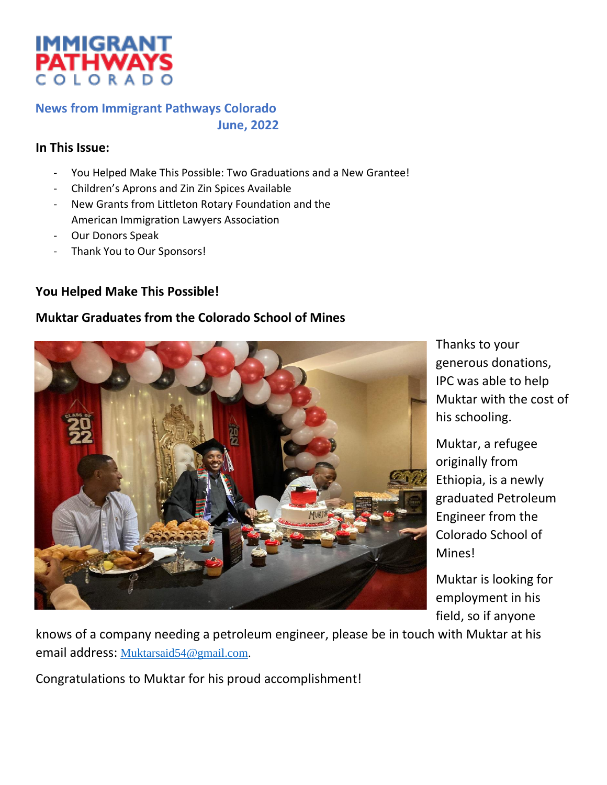

#### **News from Immigrant Pathways Colorado June, 2022**

#### **In This Issue:**

- You Helped Make This Possible: Two Graduations and a New Grantee!
- Children's Aprons and Zin Zin Spices Available
- New Grants from Littleton Rotary Foundation and the American Immigration Lawyers Association
- Our Donors Speak
- Thank You to Our Sponsors!

#### **You Helped Make This Possible!**

#### **Muktar Graduates from the Colorado School of Mines**



Thanks to your generous donations, IPC was able to help Muktar with the cost of his schooling.

Muktar, a refugee originally from Ethiopia, is a newly graduated Petroleum Engineer from the Colorado School of Mines!

Muktar is looking for employment in his field, so if anyone

knows of a company needing a petroleum engineer, please be in touch with Muktar at his email address: [Muktarsaid54@gmail.com.](mailto:Muktarsaid54@gmail.com)

Congratulations to Muktar for his proud accomplishment!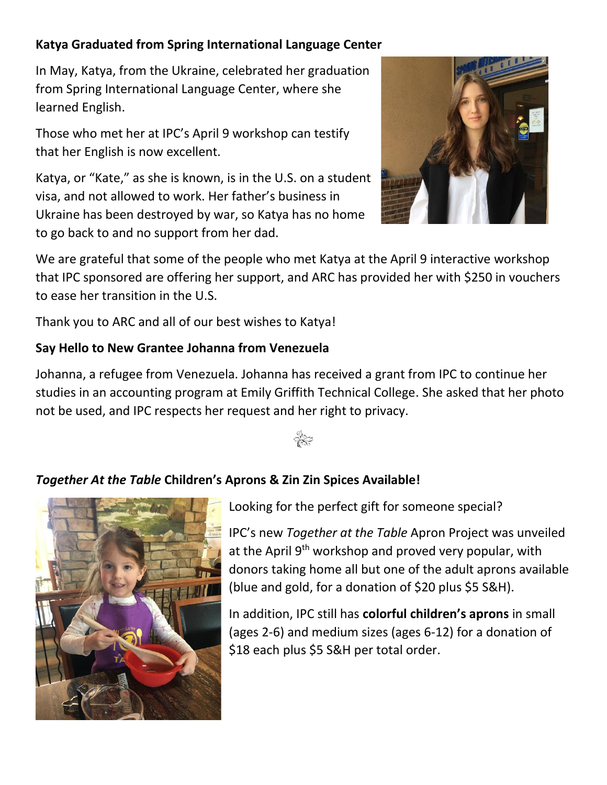## **Katya Graduated from Spring International Language Center**

In May, Katya, from the Ukraine, celebrated her graduation from Spring International Language Center, where she learned English.

Those who met her at IPC's April 9 workshop can testify that her English is now excellent.

Katya, or "Kate," as she is known, is in the U.S. on a student visa, and not allowed to work. Her father's business in Ukraine has been destroyed by war, so Katya has no home to go back to and no support from her dad.



We are grateful that some of the people who met Katya at the April 9 interactive workshop that IPC sponsored are offering her support, and ARC has provided her with \$250 in vouchers to ease her transition in the U.S.

Thank you to ARC and all of our best wishes to Katya!

### **Say Hello to New Grantee Johanna from Venezuela**

Johanna, a refugee from Venezuela. Johanna has received a grant from IPC to continue her studies in an accounting program at Emily Griffith Technical College. She asked that her photo not be used, and IPC respects her request and her right to privacy.



## *Together At the Table* **Children's Aprons & Zin Zin Spices Available!**



Looking for the perfect gift for someone special?

IPC's new *Together at the Table* Apron Project was unveiled at the April  $9<sup>th</sup>$  workshop and proved very popular, with donors taking home all but one of the adult aprons available (blue and gold, for a donation of \$20 plus \$5 S&H).

In addition, IPC still has **colorful children's aprons** in small (ages 2-6) and medium sizes (ages 6-12) for a donation of \$18 each plus \$5 S&H per total order.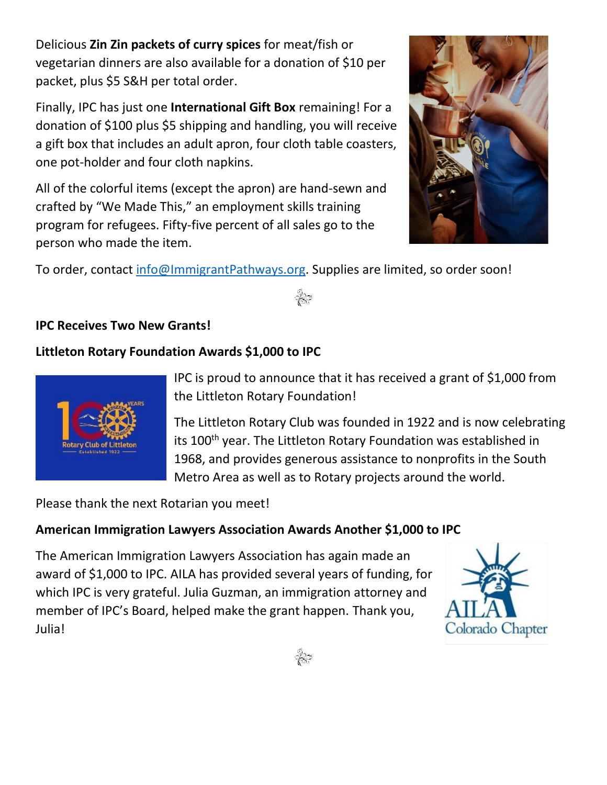Delicious **Zin Zin packets of curry spices** for meat/fish or vegetarian dinners are also available for a donation of \$10 per packet, plus \$5 S&H per total order.

Finally, IPC has just one **International Gift Box** remaining! For a donation of \$100 plus \$5 shipping and handling, you will receive a gift box that includes an adult apron, four cloth table coasters, one pot-holder and four cloth napkins.

All of the colorful items (except the apron) are hand-sewn and crafted by "We Made This," an employment skills training program for refugees. Fifty-five percent of all sales go to the person who made the item.



To order, contact [info@ImmigrantPathways.org.](mailto:info@ImmigrantPathways.org) Supplies are limited, so order soon!

## **IPC Receives Two New Grants!**

## **Littleton Rotary Foundation Awards \$1,000 to IPC**



IPC is proud to announce that it has received a grant of \$1,000 from the Littleton Rotary Foundation!

The Littleton Rotary Club was founded in 1922 and is now celebrating its 100<sup>th</sup> year. The Littleton Rotary Foundation was established in 1968, and provides generous assistance to nonprofits in the South Metro Area as well as to Rotary projects around the world.

Please thank the next Rotarian you meet!

## **American Immigration Lawyers Association Awards Another \$1,000 to IPC**

The American Immigration Lawyers Association has again made an award of \$1,000 to IPC. AILA has provided several years of funding, for which IPC is very grateful. Julia Guzman, an immigration attorney and member of IPC's Board, helped make the grant happen. Thank you, Julia!



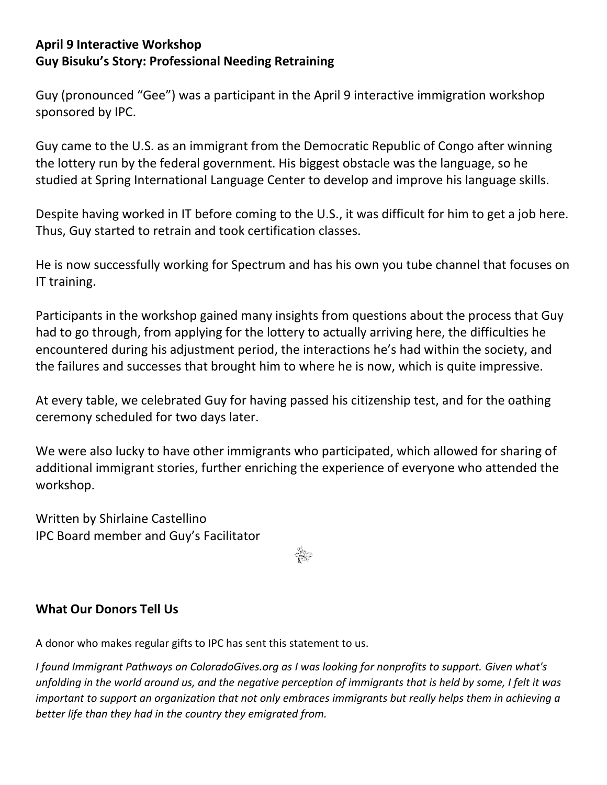### **April 9 Interactive Workshop Guy Bisuku's Story: Professional Needing Retraining**

Guy (pronounced "Gee") was a participant in the April 9 interactive immigration workshop sponsored by IPC.

Guy came to the U.S. as an immigrant from the Democratic Republic of Congo after winning the lottery run by the federal government. His biggest obstacle was the language, so he studied at Spring International Language Center to develop and improve his language skills.

Despite having worked in IT before coming to the U.S., it was difficult for him to get a job here. Thus, Guy started to retrain and took certification classes.

He is now successfully working for Spectrum and has his own you tube channel that focuses on IT training.

Participants in the workshop gained many insights from questions about the process that Guy had to go through, from applying for the lottery to actually arriving here, the difficulties he encountered during his adjustment period, the interactions he's had within the society, and the failures and successes that brought him to where he is now, which is quite impressive.

At every table, we celebrated Guy for having passed his citizenship test, and for the oathing ceremony scheduled for two days later.

We were also lucky to have other immigrants who participated, which allowed for sharing of additional immigrant stories, further enriching the experience of everyone who attended the workshop.

Written by Shirlaine Castellino IPC Board member and Guy's Facilitator

### **What Our Donors Tell Us**

A donor who makes regular gifts to IPC has sent this statement to us.

*I found Immigrant Pathways on ColoradoGives.org as I was looking for nonprofits to support. Given what's unfolding in the world around us, and the negative perception of immigrants that is held by some, I felt it was important to support an organization that not only embraces immigrants but really helps them in achieving a better life than they had in the country they emigrated from.*